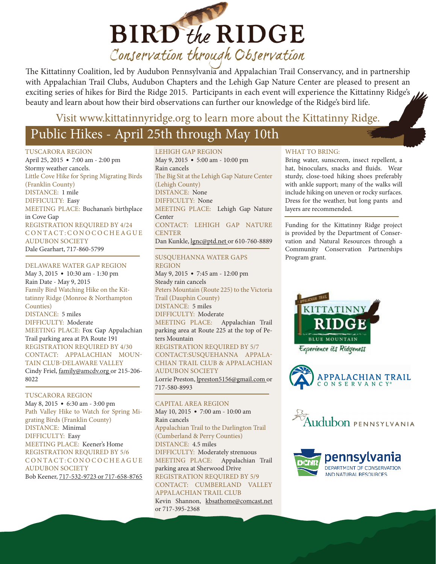

The Kittatinny Coalition, led by Audubon Pennsylvania and Appalachian Trail Conservancy, and in partnership with Appalachian Trail Clubs, Audubon Chapters and the Lehigh Gap Nature Center are pleased to present an exciting series of hikes for Bird the Ridge 2015. Participants in each event will experience the Kittatinny Ridge's beauty and learn about how their bird observations can further our knowledge of the Ridge's bird life.

### Visit www.kittatinnyridge.org to learn more about the Kittatinny Ridge.

# Public Hikes - April 25th through May 10th

TUSCARORA REGION

April 25, 2015 • 7:00 am - 2:00 pm Stormy weather cancels. Little Cove Hike for Spring Migrating Birds (Franklin County) DISTANCE: 1 mile DIFFICULTY: Easy MEETING PLACE: Buchanan's birthplace in Cove Gap REGISTRATION REQUIRED BY 4/24 CONTACT: CONOCOCHEAGUE AUDUBON SOCIETY Dale Gearhart, 717-860-5799

### DELAWARE WATER GAP REGION

May 3, 2015 • 10:30 am - 1:30 pm Rain Date - May 9, 2015 Family Bird Watching Hike on the Kittatinny Ridge (Monroe & Northampton Counties) DISTANCE: 5 miles DIFFICULTY: Moderate MEETING PLACE: Fox Gap Appalachian Trail parking area at PA Route 191 REGISTRATION REQUIRED BY 4/30 CONTACT: APPALACHIAN MOUN-TAIN CLUB-DELAWARE VALLEY Cindy Friel, family@amcdv.org or 215-206- 8022

### TUSCARORA REGION

May 8, 2015 • 6:30 am - 3:00 pm Path Valley Hike to Watch for Spring Migrating Birds (Franklin County) DISTANCE: Minimal DIFFICULTY: Easy MEETING PLACE: Keener's Home REGISTRATION REQUIRED BY 5/6 CONTACT: CONOCOCHEAGUE AUDUBON SOCIETY

Bob Keener, 717-532-9723 or 717-658-8765

LEHIGH GAP REGION May 9, 2015 • 5:00 am - 10:00 pm Rain cancels The Big Sit at the Lehigh Gap Nature Center (Lehigh County) DISTANCE: None DIFFICULTY: None MEETING PLACE: Lehigh Gap Nature Center CONTACT: LEHIGH GAP NATURE **CENTER** Dan Kunkle, *lgnc@ptd.net* or 610-760-8889

### SUSQUEHANNA WATER GAPS REGION

May 9, 2015 • 7:45 am - 12:00 pm Steady rain cancels Peters Mountain (Route 225) to the Victoria Trail (Dauphin County) DISTANCE: 5 miles DIFFICULTY: Moderate MEETING PLACE: Appalachian Trail parking area at Route 225 at the top of Peters Mountain REGISTRATION REQUIRED BY 5/7 CONTACT:SUSQUEHANNA APPALA-CHIAN TRAIL CLUB & APPALACHIAN AUDUBON SOCIETY Lorrie Preston, lpreston5156@gmail.com or 717-580-8993

### CAPITAL AREA REGION

May 10, 2015 • 7:00 am - 10:00 am Rain cancels Appalachian Trail to the Darlington Trail (Cumberland & Perry Counties) DISTANCE: 4.5 miles DIFFICULTY: Moderately strenuous MEETING PLACE: Appalachian Trail parking area at Sherwood Drive REGISTRATION REQUIRED BY 5/9 CONTACT: CUMBERLAND VALLEY APPALACHIAN TRAIL CLUB Kevin Shannon, kbsathome@comcast.net or 717-395-2368

### WHAT TO BRING:

Bring water, sunscreen, insect repellent, a hat, binoculars, snacks and fluids. Wear sturdy, close-toed hiking shoes preferably with ankle support; many of the walks will include hiking on uneven or rocky surfaces. Dress for the weather, but long pants and layers are recommended.

Funding for the Kittatinny Ridge project is provided by the Department of Conservation and Natural Resources through a Community Conservation Partnerships Program grant.